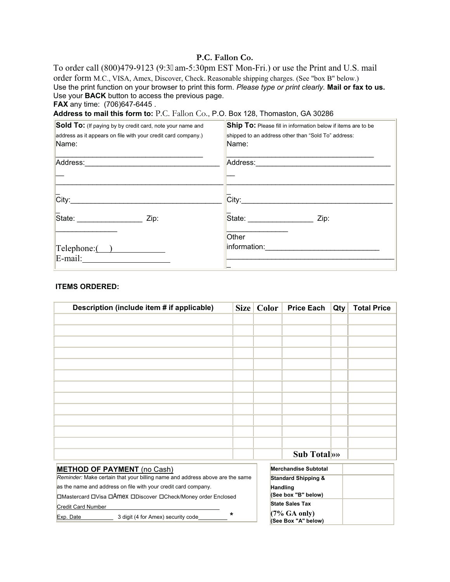## **P.C. Fallon Co.**

To order call (800)479-9123 (9:32am-5:30pm EST Mon-Fri.) or use the Print and U.S. mail order form M.C., VISA, Amex, Discover, Check. Reasonable shipping charges. (See "box B" below.) Use the print function on your browser to print this form. *Please type or print clearly.* **Mail or fax to us.** Use your **BACK** button to access the previous page. **FAX** any time: (706)647-6445 *.*

**Address to mail this form to:** P.C. Fallon Co., P.O. Box 128, Thomaston, GA 30286

| Sold To: (If paying by by credit card, note your name and                                                                                                                                                                      | Ship To: Please fill in information below if items are to be |  |  |
|--------------------------------------------------------------------------------------------------------------------------------------------------------------------------------------------------------------------------------|--------------------------------------------------------------|--|--|
| address as it appears on file with your credit card company.)                                                                                                                                                                  | shipped to an address other than "Sold To" address:          |  |  |
| Name:                                                                                                                                                                                                                          | Name:                                                        |  |  |
|                                                                                                                                                                                                                                |                                                              |  |  |
| Address: All Address: All Address: All Address: All Address: All Address: All Address: All Address: All Address: All Address: All Address: All Address: All Address: All Address: All Address: All Address: All Address: All A |                                                              |  |  |
|                                                                                                                                                                                                                                |                                                              |  |  |
|                                                                                                                                                                                                                                |                                                              |  |  |
| $\overline{\textsf{City}}$ :                                                                                                                                                                                                   |                                                              |  |  |
|                                                                                                                                                                                                                                |                                                              |  |  |
| State: _________________________ Zip:                                                                                                                                                                                          | State: ____________________<br>Zip:                          |  |  |
|                                                                                                                                                                                                                                |                                                              |  |  |
|                                                                                                                                                                                                                                | Other                                                        |  |  |
| $\text{Telephone:}$ $\qquad \qquad$                                                                                                                                                                                            | information: ________________________                        |  |  |
|                                                                                                                                                                                                                                |                                                              |  |  |
|                                                                                                                                                                                                                                |                                                              |  |  |

#### **ITEMS ORDERED:**

| Description (include item # if applicable)                                   |   | Size   Color | <b>Price Each</b>                      | Qty | <b>Total Price</b> |
|------------------------------------------------------------------------------|---|--------------|----------------------------------------|-----|--------------------|
|                                                                              |   |              |                                        |     |                    |
|                                                                              |   |              |                                        |     |                    |
|                                                                              |   |              |                                        |     |                    |
|                                                                              |   |              |                                        |     |                    |
|                                                                              |   |              |                                        |     |                    |
|                                                                              |   |              |                                        |     |                    |
|                                                                              |   |              |                                        |     |                    |
|                                                                              |   |              |                                        |     |                    |
|                                                                              |   |              |                                        |     |                    |
|                                                                              |   |              |                                        |     |                    |
|                                                                              |   |              |                                        |     |                    |
|                                                                              |   |              |                                        |     |                    |
|                                                                              |   |              | Sub Total                              |     |                    |
| <b>METHOD OF PAYMENT</b> (no Cash)                                           |   |              | <b>Merchandise Subtotal</b>            |     |                    |
| Reminder: Make certain that your billing name and address above are the same |   |              | <b>Standard Shipping &amp;</b>         |     |                    |
| as the name and address on file with your credit card company.               |   |              | <b>Handling</b>                        |     |                    |
| □Mastercard □Visa □AmeX □Discover □Check/Money order Enclosed                |   |              | (See box "B" below)                    |     |                    |
| <b>Credit Card Number</b>                                                    |   |              | <b>State Sales Tax</b>                 |     |                    |
| 3 digit (4 for Amex) security code_<br>Exp. Date                             | * |              | $(7\%$ GA only)<br>(See Box "A" below) |     |                    |